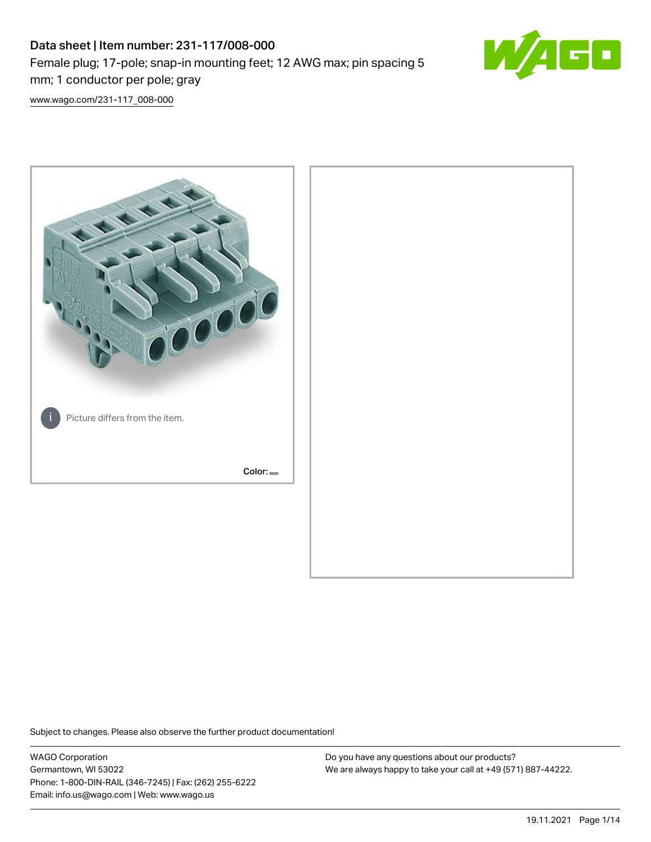## Data sheet | Item number: 231-117/008-000 Female plug; 17-pole; snap-in mounting feet; 12 AWG max; pin spacing 5 mm; 1 conductor per pole; gray



[www.wago.com/231-117\\_008-000](http://www.wago.com/231-117_008-000)



Subject to changes. Please also observe the further product documentation!

WAGO Corporation Germantown, WI 53022 Phone: 1-800-DIN-RAIL (346-7245) | Fax: (262) 255-6222 Email: info.us@wago.com | Web: www.wago.us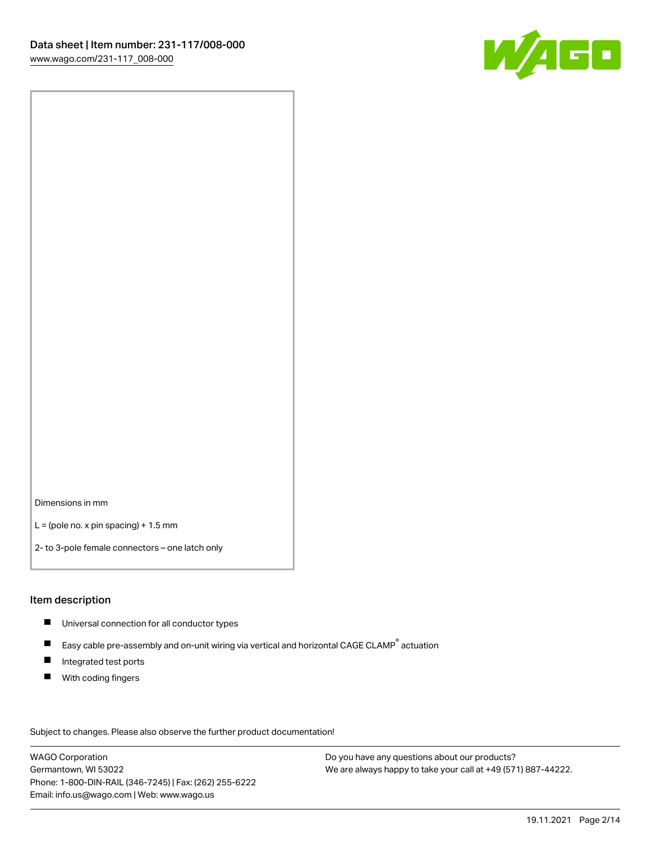

Dimensions in mm

 $L =$  (pole no. x pin spacing) + 1.5 mm

2- to 3-pole female connectors – one latch only

#### Item description

- **Universal connection for all conductor types**
- Easy cable pre-assembly and on-unit wiring via vertical and horizontal CAGE CLAMP<sup>®</sup> actuation  $\blacksquare$
- $\blacksquare$ Integrated test ports
- $\blacksquare$ With coding fingers

Subject to changes. Please also observe the further product documentation! Data

WAGO Corporation Germantown, WI 53022 Phone: 1-800-DIN-RAIL (346-7245) | Fax: (262) 255-6222 Email: info.us@wago.com | Web: www.wago.us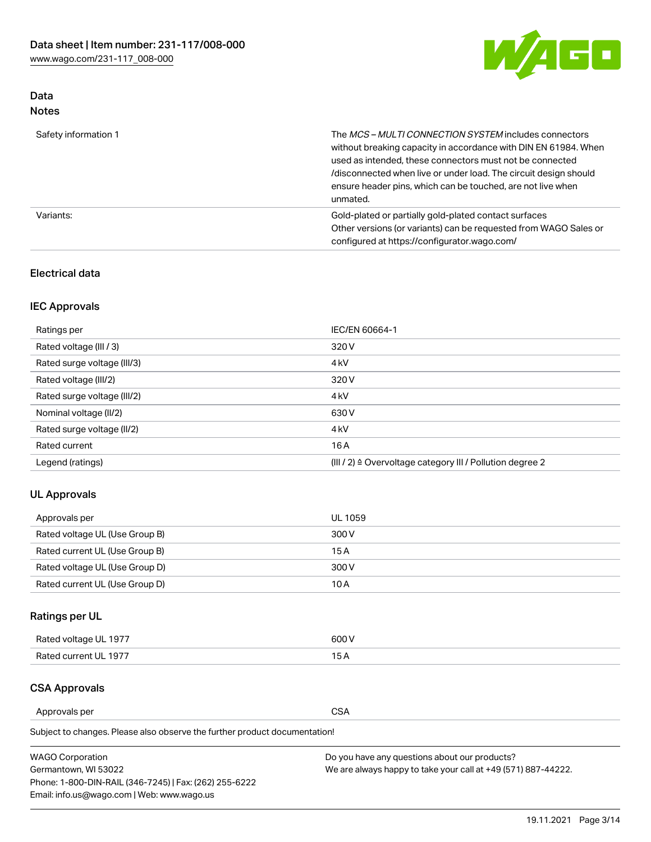

## Data Notes

| Safety information 1 | The MCS-MULTI CONNECTION SYSTEM includes connectors<br>without breaking capacity in accordance with DIN EN 61984. When<br>used as intended, these connectors must not be connected<br>/disconnected when live or under load. The circuit design should<br>ensure header pins, which can be touched, are not live when<br>unmated. |
|----------------------|-----------------------------------------------------------------------------------------------------------------------------------------------------------------------------------------------------------------------------------------------------------------------------------------------------------------------------------|
| Variants:            | Gold-plated or partially gold-plated contact surfaces<br>Other versions (or variants) can be requested from WAGO Sales or<br>configured at https://configurator.wago.com/                                                                                                                                                         |

## Electrical data

## IEC Approvals

| Ratings per                 | IEC/EN 60664-1                                                        |
|-----------------------------|-----------------------------------------------------------------------|
| Rated voltage (III / 3)     | 320 V                                                                 |
| Rated surge voltage (III/3) | 4 <sub>k</sub> V                                                      |
| Rated voltage (III/2)       | 320 V                                                                 |
| Rated surge voltage (III/2) | 4 <sub>k</sub> V                                                      |
| Nominal voltage (II/2)      | 630 V                                                                 |
| Rated surge voltage (II/2)  | 4 <sub>k</sub> V                                                      |
| Rated current               | 16A                                                                   |
| Legend (ratings)            | $(III / 2)$ $\triangle$ Overvoltage category III / Pollution degree 2 |

## UL Approvals

| Approvals per                  | UL 1059 |
|--------------------------------|---------|
| Rated voltage UL (Use Group B) | 300 V   |
| Rated current UL (Use Group B) | 15 A    |
| Rated voltage UL (Use Group D) | 300 V   |
| Rated current UL (Use Group D) | 10 A    |

## Ratings per UL

| Rated voltage UL 1977 | 600 V         |
|-----------------------|---------------|
| Rated current UL 1977 | $\sim$ $\sim$ |

## CSA Approvals

Approvals per CSA

Subject to changes. Please also observe the further product documentation!

| <b>WAGO Corporation</b>                                | Do you have any questions about our products?                 |
|--------------------------------------------------------|---------------------------------------------------------------|
| Germantown, WI 53022                                   | We are always happy to take your call at +49 (571) 887-44222. |
| Phone: 1-800-DIN-RAIL (346-7245)   Fax: (262) 255-6222 |                                                               |
| Email: info.us@wago.com   Web: www.wago.us             |                                                               |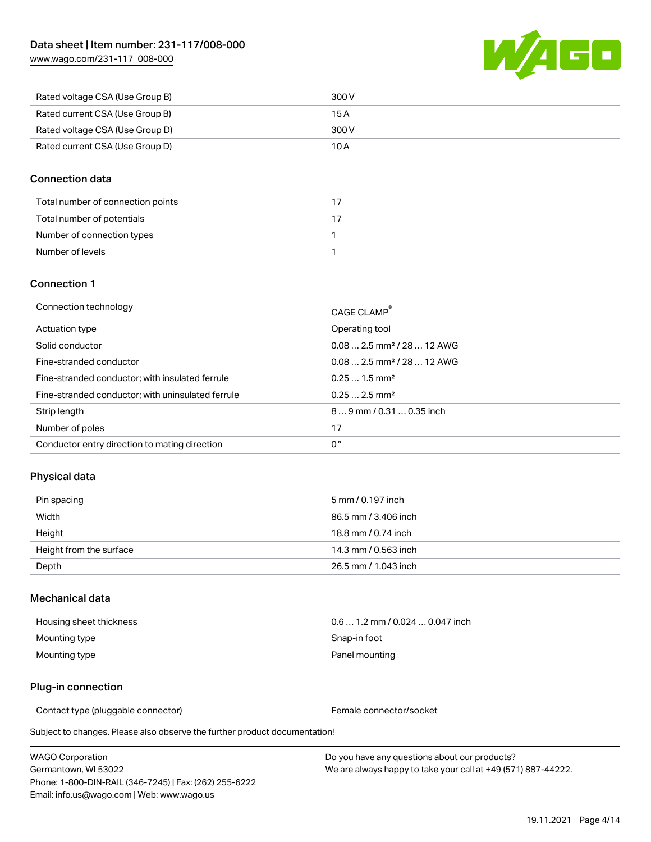

| Rated voltage CSA (Use Group B) | 300 V |
|---------------------------------|-------|
| Rated current CSA (Use Group B) | 15 A  |
| Rated voltage CSA (Use Group D) | 300 V |
| Rated current CSA (Use Group D) | 10 A  |

### Connection data

| Total number of connection points |  |
|-----------------------------------|--|
| Total number of potentials        |  |
| Number of connection types        |  |
| Number of levels                  |  |

#### Connection 1

| Operating tool<br>Actuation type<br>$0.082.5$ mm <sup>2</sup> / 28  12 AWG<br>Solid conductor<br>$0.082.5$ mm <sup>2</sup> / 28  12 AWG<br>Fine-stranded conductor<br>$0.251.5$ mm <sup>2</sup><br>Fine-stranded conductor; with insulated ferrule<br>$0.252.5$ mm <sup>2</sup><br>Fine-stranded conductor; with uninsulated ferrule<br>Strip length<br>89 mm / 0.31  0.35 inch<br>Number of poles<br>17<br>0°<br>Conductor entry direction to mating direction | Connection technology | CAGE CLAMP <sup>®</sup> |
|-----------------------------------------------------------------------------------------------------------------------------------------------------------------------------------------------------------------------------------------------------------------------------------------------------------------------------------------------------------------------------------------------------------------------------------------------------------------|-----------------------|-------------------------|
|                                                                                                                                                                                                                                                                                                                                                                                                                                                                 |                       |                         |
|                                                                                                                                                                                                                                                                                                                                                                                                                                                                 |                       |                         |
|                                                                                                                                                                                                                                                                                                                                                                                                                                                                 |                       |                         |
|                                                                                                                                                                                                                                                                                                                                                                                                                                                                 |                       |                         |
|                                                                                                                                                                                                                                                                                                                                                                                                                                                                 |                       |                         |
|                                                                                                                                                                                                                                                                                                                                                                                                                                                                 |                       |                         |
|                                                                                                                                                                                                                                                                                                                                                                                                                                                                 |                       |                         |
|                                                                                                                                                                                                                                                                                                                                                                                                                                                                 |                       |                         |

## Physical data

| Pin spacing             | 5 mm / 0.197 inch    |
|-------------------------|----------------------|
| Width                   | 86.5 mm / 3.406 inch |
| Height                  | 18.8 mm / 0.74 inch  |
| Height from the surface | 14.3 mm / 0.563 inch |
| Depth                   | 26.5 mm / 1.043 inch |

#### Mechanical data

| Housing sheet thickness | $0.6$ 1.2 mm / 0.024 $\dots$ 0.047 inch |
|-------------------------|-----------------------------------------|
| Mounting type           | Snap-in foot                            |
| Mounting type           | Panel mounting                          |

#### Plug-in connection

Contact type (pluggable connector) example and the Female connector/socket

Subject to changes. Please also observe the further product documentation!

WAGO Corporation Germantown, WI 53022 Phone: 1-800-DIN-RAIL (346-7245) | Fax: (262) 255-6222 Email: info.us@wago.com | Web: www.wago.us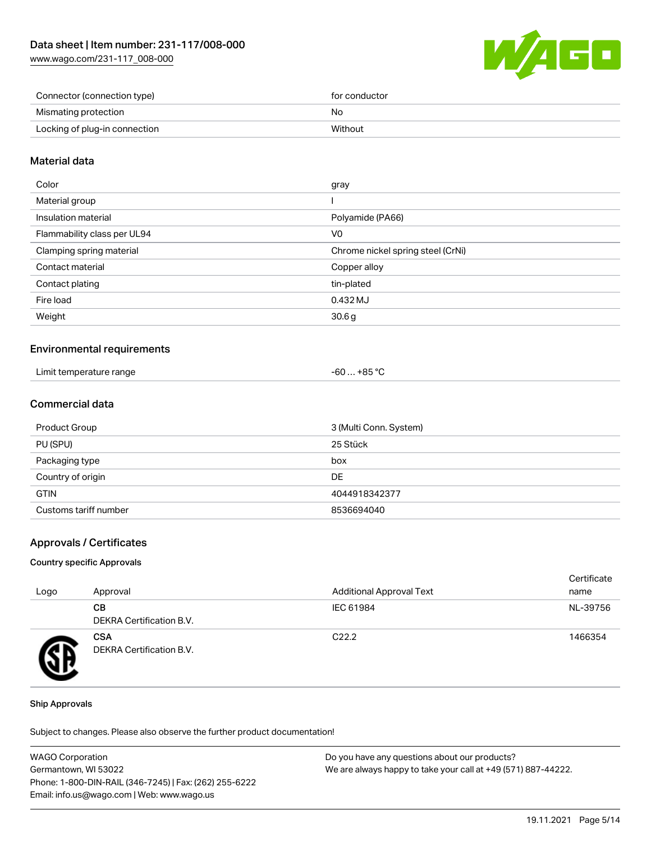[www.wago.com/231-117\\_008-000](http://www.wago.com/231-117_008-000)



| Connector (connection type)   | for conductor |
|-------------------------------|---------------|
| Mismating protection          | No            |
| Locking of plug-in connection | Without       |

### Material data

| Color                       | gray                              |
|-----------------------------|-----------------------------------|
| Material group              |                                   |
| Insulation material         | Polyamide (PA66)                  |
| Flammability class per UL94 | V <sub>0</sub>                    |
| Clamping spring material    | Chrome nickel spring steel (CrNi) |
| Contact material            | Copper alloy                      |
| Contact plating             | tin-plated                        |
| Fire load                   | 0.432 MJ                          |
| Weight                      | 30.6g                             |
|                             |                                   |

### Environmental requirements

| Limit temperature range | . +85 ° <sup>∩</sup><br>- 60  . |
|-------------------------|---------------------------------|
|-------------------------|---------------------------------|

## Commercial data

| Product Group         | 3 (Multi Conn. System) |
|-----------------------|------------------------|
| PU (SPU)              | 25 Stück               |
| Packaging type        | box                    |
| Country of origin     | DE                     |
| <b>GTIN</b>           | 4044918342377          |
| Customs tariff number | 8536694040             |

#### Approvals / Certificates

#### Country specific Approvals

| Logo | Approval                               | <b>Additional Approval Text</b> | Certificate<br>name |
|------|----------------------------------------|---------------------------------|---------------------|
|      | CВ<br>DEKRA Certification B.V.         | IEC 61984                       | NL-39756            |
| Ŧ    | <b>CSA</b><br>DEKRA Certification B.V. | C <sub>22.2</sub>               | 1466354             |

#### Ship Approvals

Subject to changes. Please also observe the further product documentation!

| <b>WAGO Corporation</b>                                | Do you have any questions about our products?                 |
|--------------------------------------------------------|---------------------------------------------------------------|
| Germantown, WI 53022                                   | We are always happy to take your call at +49 (571) 887-44222. |
| Phone: 1-800-DIN-RAIL (346-7245)   Fax: (262) 255-6222 |                                                               |
| Email: info.us@wago.com   Web: www.wago.us             |                                                               |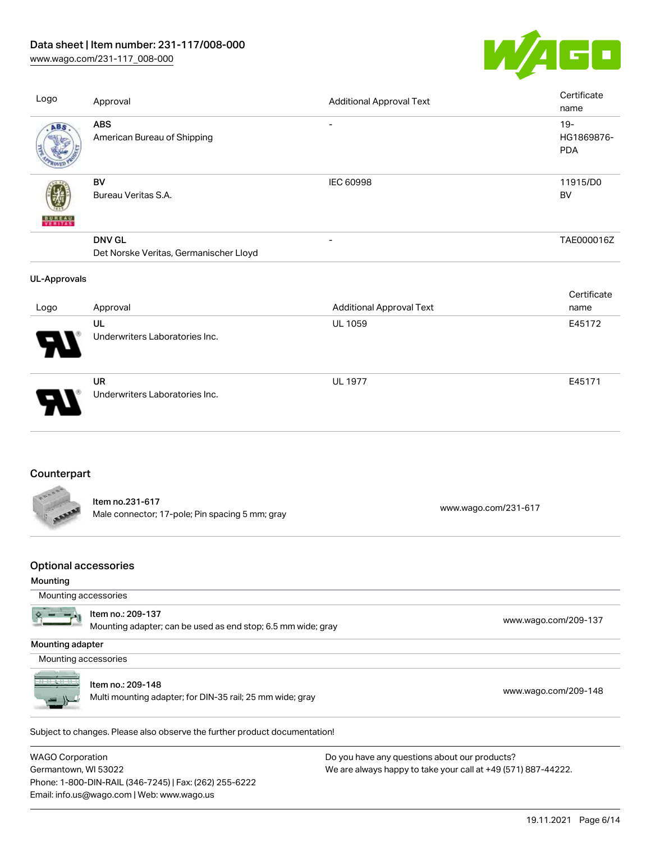[www.wago.com/231-117\\_008-000](http://www.wago.com/231-117_008-000)



| Logo                                                            | Approval                                                           | <b>Additional Approval Text</b> | Certificate<br>name                |
|-----------------------------------------------------------------|--------------------------------------------------------------------|---------------------------------|------------------------------------|
| ABS                                                             | <b>ABS</b><br>American Bureau of Shipping                          | $\overline{\phantom{a}}$        | $19 -$<br>HG1869876-<br><b>PDA</b> |
|                                                                 | BV<br>Bureau Veritas S.A.                                          | IEC 60998                       | 11915/D0<br><b>BV</b>              |
|                                                                 | <b>DNV GL</b><br>Det Norske Veritas, Germanischer Lloyd            | ÷,                              | TAE000016Z                         |
| <b>UL-Approvals</b>                                             |                                                                    |                                 |                                    |
| Logo                                                            | Approval                                                           | <b>Additional Approval Text</b> | Certificate<br>name                |
|                                                                 | UL<br>Underwriters Laboratories Inc.                               | <b>UL 1059</b>                  | E45172                             |
|                                                                 | <b>UR</b><br>Underwriters Laboratories Inc.                        | <b>UL 1977</b>                  | E45171                             |
| Counterpart                                                     |                                                                    |                                 |                                    |
|                                                                 | Item no.231-617<br>Male connector; 17-pole; Pin spacing 5 mm; gray | www.wago.com/231-617            |                                    |
| <b>Optional accessories</b><br>Mounting<br>Mounting accessories |                                                                    |                                 |                                    |

Mounting adapter; can be used as end stop; 6.5 mm wide; gray [www.wago.com/209-137](http://www.wago.com/209-137) www.wago.com/209-137

Mounting adapter

Mounting accessories



Item no.: 209-148

Item no.: 209-137

nem no.. 209-146<br>Multi mounting adapter; for DIN-35 rail; 25 mm wide; gray [www.wago.com/209-148](http://www.wago.com/209-148)

.<br>Subject to changes. Please also observe the further product documentation!

WAGO Corporation Germantown, WI 53022 Phone: 1-800-DIN-RAIL (346-7245) | Fax: (262) 255-6222 Email: info.us@wago.com | Web: www.wago.us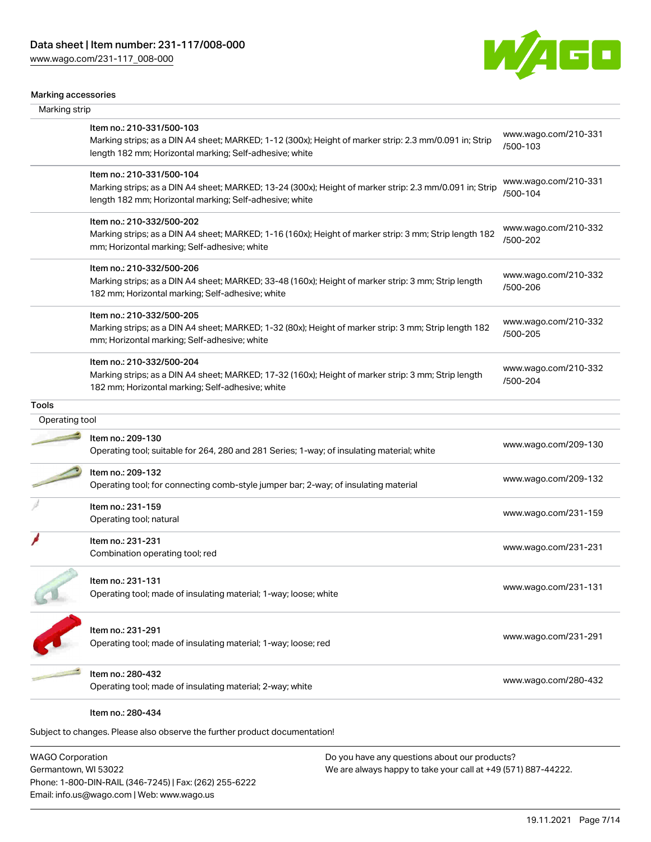

#### Marking accessories

| Marking strip  |                                                                                                                                                                    |                                  |
|----------------|--------------------------------------------------------------------------------------------------------------------------------------------------------------------|----------------------------------|
|                | Item no.: 210-331/500-103                                                                                                                                          | www.wago.com/210-331             |
|                | Marking strips; as a DIN A4 sheet; MARKED; 1-12 (300x); Height of marker strip: 2.3 mm/0.091 in; Strip<br>length 182 mm; Horizontal marking; Self-adhesive; white  | /500-103                         |
|                | Item no.: 210-331/500-104                                                                                                                                          | www.wago.com/210-331             |
|                | Marking strips; as a DIN A4 sheet; MARKED; 13-24 (300x); Height of marker strip: 2.3 mm/0.091 in; Strip<br>length 182 mm; Horizontal marking; Self-adhesive; white | /500-104                         |
|                | Item no.: 210-332/500-202                                                                                                                                          | www.wago.com/210-332             |
|                | Marking strips; as a DIN A4 sheet; MARKED; 1-16 (160x); Height of marker strip: 3 mm; Strip length 182<br>mm; Horizontal marking; Self-adhesive; white             | /500-202                         |
|                | Item no.: 210-332/500-206                                                                                                                                          |                                  |
|                | Marking strips; as a DIN A4 sheet; MARKED; 33-48 (160x); Height of marker strip: 3 mm; Strip length<br>182 mm; Horizontal marking; Self-adhesive; white            | www.wago.com/210-332<br>/500-206 |
|                | Item no.: 210-332/500-205                                                                                                                                          | www.wago.com/210-332             |
|                | Marking strips; as a DIN A4 sheet; MARKED; 1-32 (80x); Height of marker strip: 3 mm; Strip length 182<br>mm; Horizontal marking; Self-adhesive; white              | /500-205                         |
|                | Item no.: 210-332/500-204                                                                                                                                          | www.wago.com/210-332             |
|                | Marking strips; as a DIN A4 sheet; MARKED; 17-32 (160x); Height of marker strip: 3 mm; Strip length<br>182 mm; Horizontal marking; Self-adhesive; white            | /500-204                         |
| <b>Tools</b>   |                                                                                                                                                                    |                                  |
| Operating tool |                                                                                                                                                                    |                                  |
|                | Item no.: 209-130<br>Operating tool; suitable for 264, 280 and 281 Series; 1-way; of insulating material; white                                                    | www.wago.com/209-130             |
|                | Item no.: 209-132                                                                                                                                                  |                                  |
|                | Operating tool; for connecting comb-style jumper bar; 2-way; of insulating material                                                                                | www.wago.com/209-132             |
|                | Item no.: 231-159                                                                                                                                                  |                                  |
|                | Operating tool; natural                                                                                                                                            | www.wago.com/231-159             |
|                | Item no.: 231-231<br>Combination operating tool; red                                                                                                               | www.wago.com/231-231             |
|                |                                                                                                                                                                    |                                  |
|                | Item no.: 231-131<br>Operating tool; made of insulating material; 1-way; loose; white                                                                              | www.wago.com/231-131             |
|                | Item no.: 231-291                                                                                                                                                  |                                  |
|                | Operating tool; made of insulating material; 1-way; loose; red                                                                                                     | www.wago.com/231-291             |
|                | Item no.: 280-432                                                                                                                                                  | www.wago.com/280-432             |
|                | Operating tool; made of insulating material; 2-way; white                                                                                                          |                                  |
|                | Item no.: 280-434                                                                                                                                                  |                                  |
|                | Subject to changes. Please also observe the further product documentation!                                                                                         |                                  |
|                |                                                                                                                                                                    |                                  |

WAGO Corporation Germantown, WI 53022 Phone: 1-800-DIN-RAIL (346-7245) | Fax: (262) 255-6222 Email: info.us@wago.com | Web: www.wago.us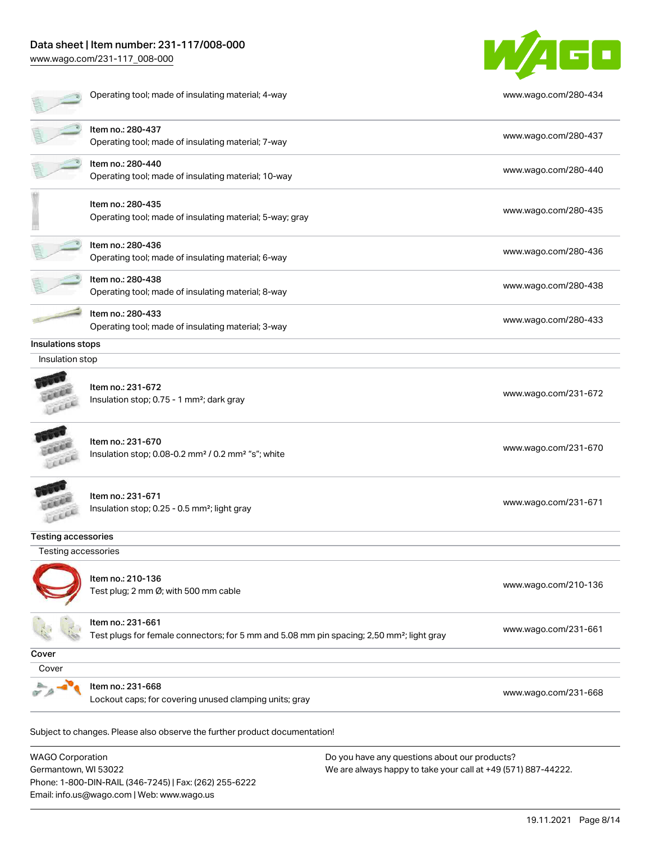Phone: 1-800-DIN-RAIL (346-7245) | Fax: (262) 255-6222

Email: info.us@wago.com | Web: www.wago.us

[www.wago.com/231-117\\_008-000](http://www.wago.com/231-117_008-000)



|                                                 | Operating tool; made of insulating material; 4-way                                                                         |                                                                                                                | www.wago.com/280-434 |
|-------------------------------------------------|----------------------------------------------------------------------------------------------------------------------------|----------------------------------------------------------------------------------------------------------------|----------------------|
|                                                 | Item no.: 280-437<br>Operating tool; made of insulating material; 7-way                                                    |                                                                                                                | www.wago.com/280-437 |
|                                                 | Item no.: 280-440<br>Operating tool; made of insulating material; 10-way                                                   |                                                                                                                | www.wago.com/280-440 |
|                                                 | Item no.: 280-435<br>Operating tool; made of insulating material; 5-way; gray                                              |                                                                                                                | www.wago.com/280-435 |
|                                                 | Item no.: 280-436<br>Operating tool; made of insulating material; 6-way                                                    |                                                                                                                | www.wago.com/280-436 |
|                                                 | Item no.: 280-438<br>Operating tool; made of insulating material; 8-way                                                    |                                                                                                                | www.wago.com/280-438 |
|                                                 | Item no.: 280-433<br>Operating tool; made of insulating material; 3-way                                                    |                                                                                                                | www.wago.com/280-433 |
| Insulations stops<br>Insulation stop            |                                                                                                                            |                                                                                                                |                      |
|                                                 | Item no.: 231-672<br>Insulation stop; 0.75 - 1 mm <sup>2</sup> ; dark gray                                                 |                                                                                                                | www.wago.com/231-672 |
|                                                 | Item no.: 231-670<br>Insulation stop; 0.08-0.2 mm <sup>2</sup> / 0.2 mm <sup>2</sup> "s"; white                            |                                                                                                                | www.wago.com/231-670 |
|                                                 | Item no.: 231-671<br>Insulation stop; 0.25 - 0.5 mm <sup>2</sup> ; light gray                                              |                                                                                                                | www.wago.com/231-671 |
| <b>Testing accessories</b>                      |                                                                                                                            |                                                                                                                |                      |
| Testing accessories                             |                                                                                                                            |                                                                                                                |                      |
|                                                 | Item no.: 210-136<br>Test plug; 2 mm Ø; with 500 mm cable                                                                  |                                                                                                                | www.wago.com/210-136 |
|                                                 | Item no.: 231-661<br>Test plugs for female connectors; for 5 mm and 5.08 mm pin spacing; 2,50 mm <sup>2</sup> ; light gray |                                                                                                                | www.wago.com/231-661 |
| Cover                                           |                                                                                                                            |                                                                                                                |                      |
| Cover                                           |                                                                                                                            |                                                                                                                |                      |
|                                                 | Item no.: 231-668<br>Lockout caps; for covering unused clamping units; gray                                                |                                                                                                                | www.wago.com/231-668 |
|                                                 | Subject to changes. Please also observe the further product documentation!                                                 |                                                                                                                |                      |
| <b>WAGO Corporation</b><br>Germantown, WI 53022 |                                                                                                                            | Do you have any questions about our products?<br>We are always happy to take your call at +49 (571) 887-44222. |                      |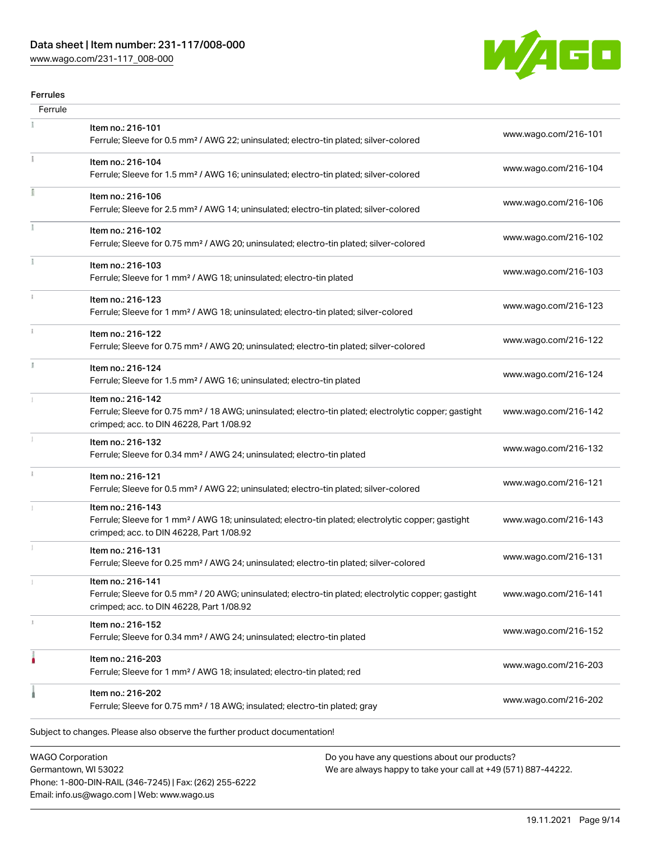[www.wago.com/231-117\\_008-000](http://www.wago.com/231-117_008-000)



#### Ferrules

| Ferrule |                                                                                                                                                                                    |                      |
|---------|------------------------------------------------------------------------------------------------------------------------------------------------------------------------------------|----------------------|
|         | Item no.: 216-101<br>Ferrule; Sleeve for 0.5 mm <sup>2</sup> / AWG 22; uninsulated; electro-tin plated; silver-colored                                                             | www.wago.com/216-101 |
|         | Item no.: 216-104<br>Ferrule; Sleeve for 1.5 mm <sup>2</sup> / AWG 16; uninsulated; electro-tin plated; silver-colored                                                             | www.wago.com/216-104 |
|         | Item no.: 216-106<br>Ferrule; Sleeve for 2.5 mm <sup>2</sup> / AWG 14; uninsulated; electro-tin plated; silver-colored                                                             | www.wago.com/216-106 |
|         | Item no.: 216-102<br>Ferrule; Sleeve for 0.75 mm <sup>2</sup> / AWG 20; uninsulated; electro-tin plated; silver-colored                                                            | www.wago.com/216-102 |
|         | Item no.: 216-103<br>Ferrule; Sleeve for 1 mm <sup>2</sup> / AWG 18; uninsulated; electro-tin plated                                                                               | www.wago.com/216-103 |
|         | Item no.: 216-123<br>Ferrule; Sleeve for 1 mm <sup>2</sup> / AWG 18; uninsulated; electro-tin plated; silver-colored                                                               | www.wago.com/216-123 |
|         | Item no.: 216-122<br>Ferrule; Sleeve for 0.75 mm <sup>2</sup> / AWG 20; uninsulated; electro-tin plated; silver-colored                                                            | www.wago.com/216-122 |
| I.      | Item no.: 216-124<br>Ferrule; Sleeve for 1.5 mm <sup>2</sup> / AWG 16; uninsulated; electro-tin plated                                                                             | www.wago.com/216-124 |
|         | Item no.: 216-142<br>Ferrule; Sleeve for 0.75 mm <sup>2</sup> / 18 AWG; uninsulated; electro-tin plated; electrolytic copper; gastight<br>crimped; acc. to DIN 46228, Part 1/08.92 | www.wago.com/216-142 |
|         | Item no.: 216-132<br>Ferrule; Sleeve for 0.34 mm <sup>2</sup> / AWG 24; uninsulated; electro-tin plated                                                                            | www.wago.com/216-132 |
| ı       | Item no.: 216-121<br>Ferrule; Sleeve for 0.5 mm <sup>2</sup> / AWG 22; uninsulated; electro-tin plated; silver-colored                                                             | www.wago.com/216-121 |
|         | Item no.: 216-143<br>Ferrule; Sleeve for 1 mm <sup>2</sup> / AWG 18; uninsulated; electro-tin plated; electrolytic copper; gastight<br>crimped; acc. to DIN 46228, Part 1/08.92    | www.wago.com/216-143 |
|         | Item no.: 216-131<br>Ferrule; Sleeve for 0.25 mm <sup>2</sup> / AWG 24; uninsulated; electro-tin plated; silver-colored                                                            | www.wago.com/216-131 |
|         | Item no.: 216-141<br>Ferrule; Sleeve for 0.5 mm <sup>2</sup> / 20 AWG; uninsulated; electro-tin plated; electrolytic copper; gastight<br>crimped; acc. to DIN 46228, Part 1/08.92  | www.wago.com/216-141 |
|         | Item no.: 216-152<br>Ferrule; Sleeve for 0.34 mm <sup>2</sup> / AWG 24; uninsulated; electro-tin plated                                                                            | www.wago.com/216-152 |
|         | Item no.: 216-203<br>Ferrule; Sleeve for 1 mm <sup>2</sup> / AWG 18; insulated; electro-tin plated; red                                                                            | www.wago.com/216-203 |
|         | Item no.: 216-202<br>Ferrule; Sleeve for 0.75 mm <sup>2</sup> / 18 AWG; insulated; electro-tin plated; gray                                                                        | www.wago.com/216-202 |
|         | Subject to changes. Please also observe the further product documentation!                                                                                                         |                      |
|         |                                                                                                                                                                                    |                      |

WAGO Corporation Germantown, WI 53022 Phone: 1-800-DIN-RAIL (346-7245) | Fax: (262) 255-6222 Email: info.us@wago.com | Web: www.wago.us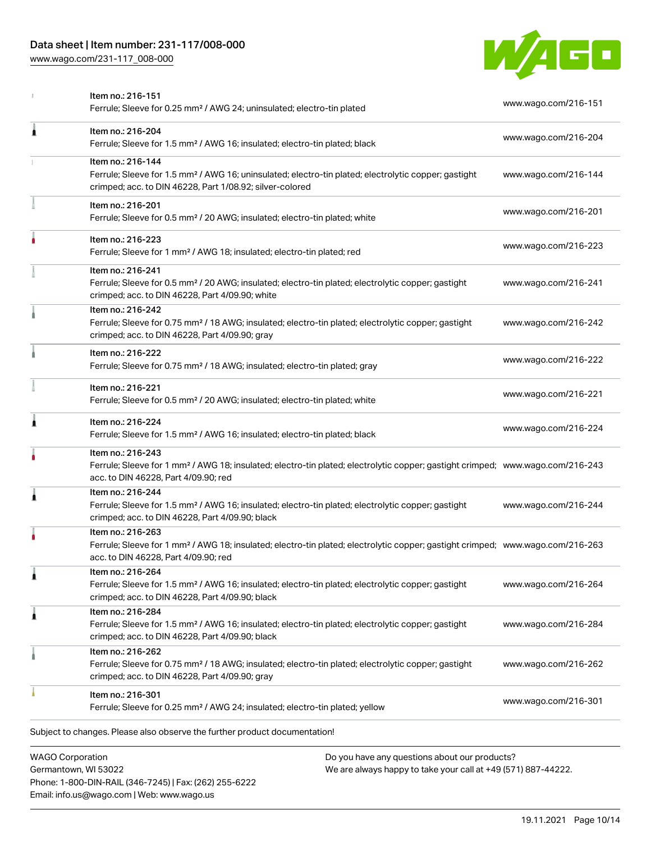[www.wago.com/231-117\\_008-000](http://www.wago.com/231-117_008-000)



|                         | Item no.: 216-151<br>Ferrule; Sleeve for 0.25 mm <sup>2</sup> / AWG 24; uninsulated; electro-tin plated                                                                                                 | www.wago.com/216-151 |
|-------------------------|---------------------------------------------------------------------------------------------------------------------------------------------------------------------------------------------------------|----------------------|
| Ă                       | Item no.: 216-204<br>Ferrule; Sleeve for 1.5 mm <sup>2</sup> / AWG 16; insulated; electro-tin plated; black                                                                                             | www.wago.com/216-204 |
|                         | Item no.: 216-144<br>Ferrule; Sleeve for 1.5 mm <sup>2</sup> / AWG 16; uninsulated; electro-tin plated; electrolytic copper; gastight<br>crimped; acc. to DIN 46228, Part 1/08.92; silver-colored       | www.wago.com/216-144 |
|                         | Item no.: 216-201<br>Ferrule; Sleeve for 0.5 mm <sup>2</sup> / 20 AWG; insulated; electro-tin plated; white                                                                                             | www.wago.com/216-201 |
|                         | Item no.: 216-223<br>Ferrule; Sleeve for 1 mm <sup>2</sup> / AWG 18; insulated; electro-tin plated; red                                                                                                 | www.wago.com/216-223 |
|                         | Item no.: 216-241<br>Ferrule; Sleeve for 0.5 mm <sup>2</sup> / 20 AWG; insulated; electro-tin plated; electrolytic copper; gastight<br>crimped; acc. to DIN 46228, Part 4/09.90; white                  | www.wago.com/216-241 |
|                         | Item no.: 216-242<br>Ferrule; Sleeve for 0.75 mm <sup>2</sup> / 18 AWG; insulated; electro-tin plated; electrolytic copper; gastight<br>crimped; acc. to DIN 46228, Part 4/09.90; gray                  | www.wago.com/216-242 |
|                         | Item no.: 216-222<br>Ferrule; Sleeve for 0.75 mm <sup>2</sup> / 18 AWG; insulated; electro-tin plated; gray                                                                                             | www.wago.com/216-222 |
|                         | Item no.: 216-221<br>Ferrule; Sleeve for 0.5 mm <sup>2</sup> / 20 AWG; insulated; electro-tin plated; white                                                                                             | www.wago.com/216-221 |
| 1                       | Item no.: 216-224<br>Ferrule; Sleeve for 1.5 mm <sup>2</sup> / AWG 16; insulated; electro-tin plated; black                                                                                             | www.wago.com/216-224 |
|                         | Item no.: 216-243<br>Ferrule; Sleeve for 1 mm <sup>2</sup> / AWG 18; insulated; electro-tin plated; electrolytic copper; gastight crimped; www.wago.com/216-243<br>acc. to DIN 46228, Part 4/09.90; red |                      |
| 1                       | Item no.: 216-244<br>Ferrule; Sleeve for 1.5 mm <sup>2</sup> / AWG 16; insulated; electro-tin plated; electrolytic copper; gastight<br>crimped; acc. to DIN 46228, Part 4/09.90; black                  | www.wago.com/216-244 |
|                         | Item no.: 216-263<br>Ferrule; Sleeve for 1 mm <sup>2</sup> / AWG 18; insulated; electro-tin plated; electrolytic copper; gastight crimped; www.wago.com/216-263<br>acc. to DIN 46228, Part 4/09.90; red |                      |
| 1                       | Item no.: 216-264<br>Ferrule; Sleeve for 1.5 mm <sup>2</sup> / AWG 16; insulated; electro-tin plated; electrolytic copper; gastight<br>crimped; acc. to DIN 46228, Part 4/09.90; black                  | www.wago.com/216-264 |
| 1                       | Item no.: 216-284<br>Ferrule; Sleeve for 1.5 mm <sup>2</sup> / AWG 16; insulated; electro-tin plated; electrolytic copper; gastight<br>crimped; acc. to DIN 46228, Part 4/09.90; black                  | www.wago.com/216-284 |
|                         | Item no.: 216-262<br>Ferrule; Sleeve for 0.75 mm <sup>2</sup> / 18 AWG; insulated; electro-tin plated; electrolytic copper; gastight<br>crimped; acc. to DIN 46228, Part 4/09.90; gray                  | www.wago.com/216-262 |
|                         | Item no.: 216-301<br>Ferrule; Sleeve for 0.25 mm <sup>2</sup> / AWG 24; insulated; electro-tin plated; yellow                                                                                           | www.wago.com/216-301 |
|                         | Subject to changes. Please also observe the further product documentation!                                                                                                                              |                      |
| <b>WAGO Corporation</b> | Do you have any questions about our products?                                                                                                                                                           |                      |

WAGO Corporation Germantown, WI 53022 Phone: 1-800-DIN-RAIL (346-7245) | Fax: (262) 255-6222 Email: info.us@wago.com | Web: www.wago.us

have any questions about o<mark>l</mark> We are always happy to take your call at +49 (571) 887-44222.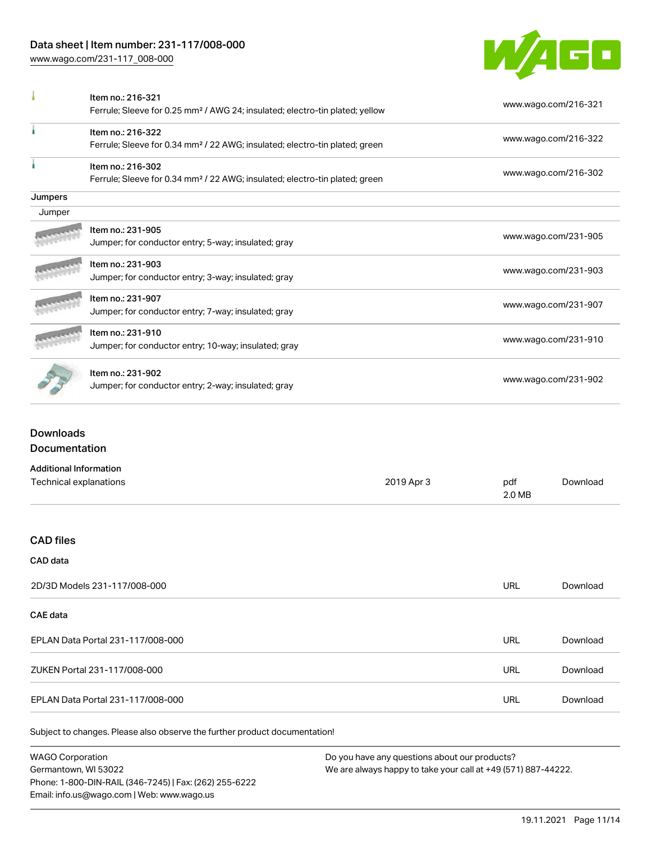[www.wago.com/231-117\\_008-000](http://www.wago.com/231-117_008-000)



|         | Item no.: 216-321<br>Ferrule; Sleeve for 0.25 mm <sup>2</sup> / AWG 24; insulated; electro-tin plated; yellow | www.wago.com/216-321 |
|---------|---------------------------------------------------------------------------------------------------------------|----------------------|
|         | Item no.: 216-322<br>Ferrule; Sleeve for 0.34 mm <sup>2</sup> / 22 AWG; insulated; electro-tin plated; green  | www.wago.com/216-322 |
|         | Item no.: 216-302<br>Ferrule; Sleeve for 0.34 mm <sup>2</sup> / 22 AWG; insulated; electro-tin plated; green  | www.wago.com/216-302 |
| Jumpers |                                                                                                               |                      |
| Jumper  |                                                                                                               |                      |
|         | Item no.: 231-905<br>Jumper; for conductor entry; 5-way; insulated; gray                                      | www.wago.com/231-905 |
|         | Item no.: 231-903<br>Jumper; for conductor entry; 3-way; insulated; gray                                      | www.wago.com/231-903 |
|         | Item no.: 231-907<br>Jumper; for conductor entry; 7-way; insulated; gray                                      | www.wago.com/231-907 |
|         | Item no.: 231-910<br>Jumper; for conductor entry; 10-way; insulated; gray                                     | www.wago.com/231-910 |
|         | Item no.: 231-902<br>Jumper; for conductor entry; 2-way; insulated; gray                                      | www.wago.com/231-902 |

## Downloads **Documentation**

| <b>Additional Information</b>     |            |               |          |
|-----------------------------------|------------|---------------|----------|
| Technical explanations            | 2019 Apr 3 | pdf<br>2.0 MB | Download |
|                                   |            |               |          |
| <b>CAD files</b>                  |            |               |          |
| CAD data                          |            |               |          |
| 2D/3D Models 231-117/008-000      |            | <b>URL</b>    | Download |
| CAE data                          |            |               |          |
| EPLAN Data Portal 231-117/008-000 |            | <b>URL</b>    | Download |
| ZUKEN Portal 231-117/008-000      |            | <b>URL</b>    | Download |
| EPLAN Data Portal 231-117/008-000 |            | <b>URL</b>    | Download |
|                                   |            |               |          |

Subject to changes. Please also observe the further product documentation!

WAGO Corporation Germantown, WI 53022 Phone: 1-800-DIN-RAIL (346-7245) | Fax: (262) 255-6222 Email: info.us@wago.com | Web: www.wago.us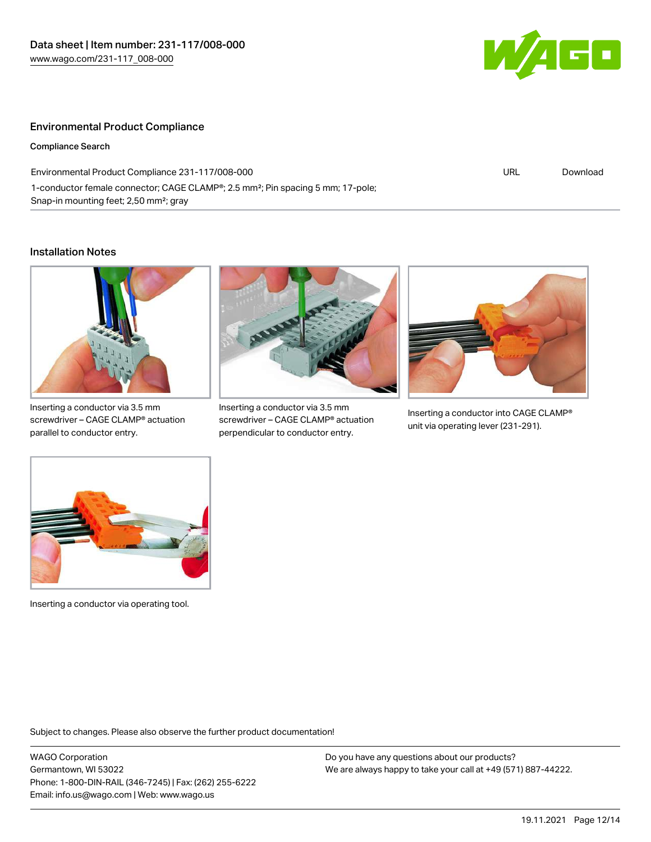

#### Environmental Product Compliance

Compliance Search

Environmental Product Compliance 231-117/008-000 1-conductor female connector; CAGE CLAMP®; 2.5 mm²; Pin spacing 5 mm; 17-pole; Snap-in mounting feet; 2,50 mm²; gray

#### URL [Download](https://www.wago.com/global/d/ComplianceLinkMediaContainer_231-117_008-000)

#### Installation Notes



Inserting a conductor via 3.5 mm screwdriver – CAGE CLAMP® actuation parallel to conductor entry.



Inserting a conductor via 3.5 mm screwdriver – CAGE CLAMP® actuation perpendicular to conductor entry.



Inserting a conductor into CAGE CLAMP® unit via operating lever (231-291).



Inserting a conductor via operating tool.

Subject to changes. Please also observe the further product documentation!

WAGO Corporation Germantown, WI 53022 Phone: 1-800-DIN-RAIL (346-7245) | Fax: (262) 255-6222 Email: info.us@wago.com | Web: www.wago.us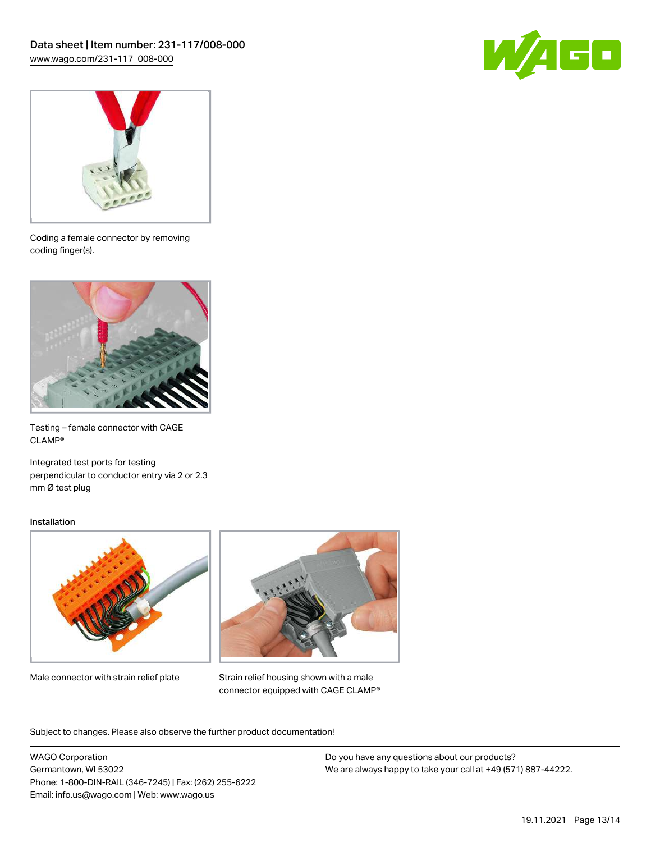



Coding a female connector by removing coding finger(s).



Testing – female connector with CAGE CLAMP®

Integrated test ports for testing perpendicular to conductor entry via 2 or 2.3 mm Ø test plug

#### Installation



Male connector with strain relief plate



Strain relief housing shown with a male connector equipped with CAGE CLAMP®

Subject to changes. Please also observe the further product documentation!

WAGO Corporation Germantown, WI 53022 Phone: 1-800-DIN-RAIL (346-7245) | Fax: (262) 255-6222 Email: info.us@wago.com | Web: www.wago.us